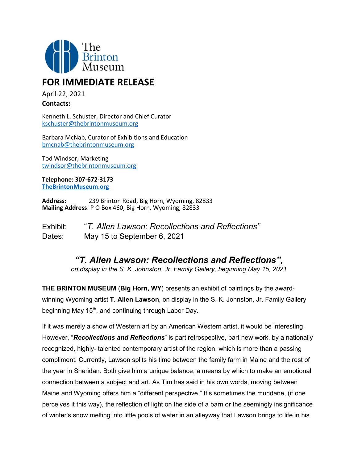

## **FOR IMMEDIATE RELEASE**

April 22, 2021

## **Contacts:**

Kenneth L. Schuster, Director and Chief Curator [kschuster@thebrintonmuseum.org](mailto:kschuster@thebrintonmuseum.org)

Barbara McNab, Curator of Exhibitions and Education [bmcnab@thebrintonmuseum.org](mailto:bmcnab@thebrintonmuseum.org)

Tod Windsor, Marketing [twindsor@thebrintonmuseum.org](mailto:twindsor@thebrintonmuseum.org)

**Telephone: 307-672-3173 [TheBrintonMuseum.org](http://www.thebrintonmuseum.org/)**

**Address:** 239 Brinton Road, Big Horn, Wyoming, 82833 **Mailing Address**: P O Box 460, Big Horn, Wyoming, 82833

Exhibit: "*T. Allen Lawson: Recollections and Reflections"* Dates: May 15 to September 6, 2021

## *"T. Allen Lawson: Recollections and Reflections",*

*on display in the S. K. Johnston, Jr. Family Gallery, beginning May 15, 2021*

**THE BRINTON MUSEUM** (**Big Horn, WY**) presents an exhibit of paintings by the awardwinning Wyoming artist **T. Allen Lawson**, on display in the S. K. Johnston, Jr. Family Gallery beginning May 15<sup>th</sup>, and continuing through Labor Day.

If it was merely a show of Western art by an American Western artist, it would be interesting. However, "*Recollections and Reflections*" is part retrospective, part new work, by a nationally recognized, highly- talented contemporary artist of the region, which is more than a passing compliment. Currently, Lawson splits his time between the family farm in Maine and the rest of the year in Sheridan. Both give him a unique balance, a means by which to make an emotional connection between a subject and art. As Tim has said in his own words, moving between Maine and Wyoming offers him a "different perspective." It's sometimes the mundane, (if one perceives it this way), the reflection of light on the side of a barn or the seemingly insignificance of winter's snow melting into little pools of water in an alleyway that Lawson brings to life in his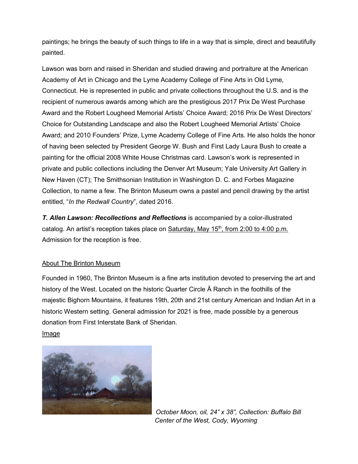paintings; he brings the beauty of such things to life in a way that is simple, direct and beautifully painted.

Lawson was born and raised in Sheridan and studied drawing and portraiture at the American Academy of Art in Chicago and the Lyme Academy College of Fine Arts in Old Lyme, Connecticut. He is represented in public and private collections throughout the U.S. and is the recipient of numerous awards among which are the prestigious 2017 Prix De West Purchase Award and the Robert Lougheed Memorial Artists' Choice Award; 2016 Prix De West Directors' Choice for Outstanding Landscape and also the Robert Lougheed Memorial Artists' Choice Award; and 2010 Founders' Prize, Lyme Academy College of Fine Arts. He also holds the honor of having been selected by President George W. Bush and First Lady Laura Bush to create a painting for the official 2008 White House Christmas card. Lawson's work is represented in private and public collections including the Denver Art Museum; Yale University Art Gallery in New Haven (CT); The Smithsonian Institution in Washington D. C. and Forbes Magazine Collection, to name a few. The Brinton Museum owns a pastel and pencil drawing by the artist entitled, "*In the Redwall Country*", dated 2016.

*T. Allen Lawson: Recollections and Reflections* is accompanied by a color-illustrated catalog. An artist's reception takes place on  $Saturday$ , May  $15<sup>th</sup>$ , from 2:00 to 4:00 p.m. Admission for the reception is free.

## About The Brinton Museum

Founded in 1960, The Brinton Museum is a fine arts institution devoted to preserving the art and history of the West. Located on the historic Quarter Circle Ă Ranch in the foothills of the majestic Bighorn Mountains, it features 19th, 20th and 21st century American and Indian Art in a historic Western setting. General admission for 2021 is free, made possible by a generous donation from First Interstate Bank of Sheridan. Image



 *October Moon, oil, 24" x 38", Collection: Buffalo Bill Center of the West, Cody, Wyoming*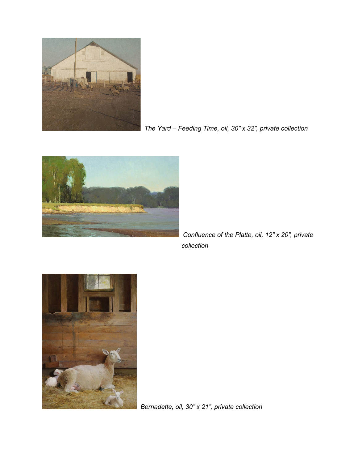

*The Yard – Feeding Time, oil, 30" x 32", private collection*



 *Confluence of the Platte, oil, 12" x 20", private collection*



*Bernadette, oil, 30" x 21", private collection*